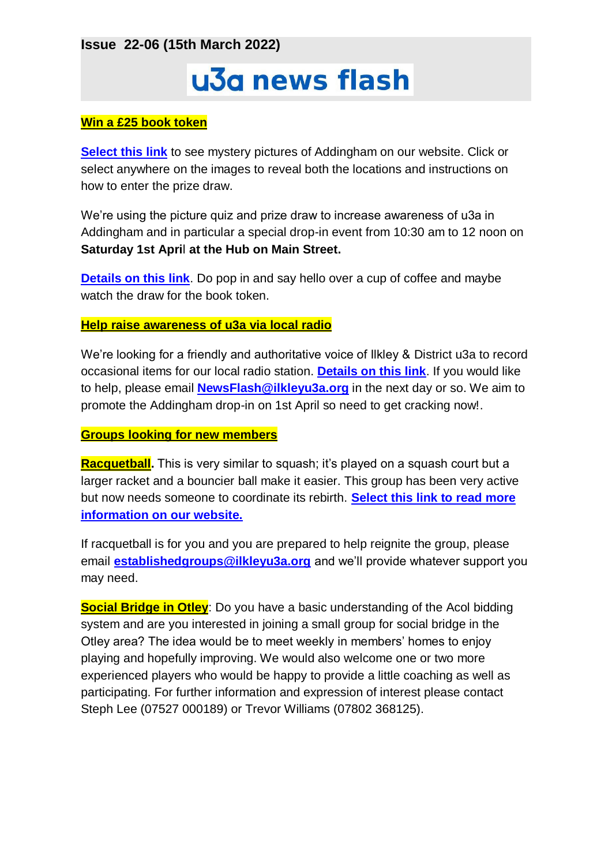**Issue 22-06 (15th March 2022)**

# u3a news flash

#### **Win a £25 book token**

**[Select this link](http://ilkleyu3a.org/#HQUIZ)** to see mystery pictures of Addingham on our website. Click or select anywhere on the images to reveal both the locations and instructions on how to enter the prize draw.

We're using the picture quiz and prize draw to increase awareness of u3a in Addingham and in particular a special drop-in event from 10:30 am to 12 noon on **Saturday 1st Apri**l **at the Hub on Main Street.**

**[Details on this link](https://ilkleyu3a.org/event-4711391)**. Do pop in and say hello over a cup of coffee and maybe watch the draw for the book token.

#### **Help raise awareness of u3a via local radio**

We're looking for a friendly and authoritative voice of Ilkley & District u3a to record occasional items for our local radio station. **[Details on this link](https://www.rombaldsradio.com/local/local-focus)**. If you would like to help, please email **[NewsFlash@ilkleyu3a.org](mailto:NewsFlash@ilkleyu3a.org)** in the next day or so. We aim to promote the Addingham drop-in on 1st April so need to get cracking now!.

#### **Groups looking for new members**

**Racquetball.** This is very similar to squash; it's played on a squash court but a larger racket and a bouncier ball make it easier. This group has been very active but now needs someone to coordinate its rebirth. **[Select this link to read more](https://ilkleyu3a.org/Racketball-group)  [information on our website.](https://ilkleyu3a.org/Racketball-group)**

If racquetball is for you and you are prepared to help reignite the group, please email **[establishedgroups@ilkleyu3a.org](mailto:establishedgroups@ilkleyu3a.org)** and we'll provide whatever support you may need.

**Social Bridge in Otley**: Do you have a basic understanding of the Acol bidding system and are you interested in joining a small group for social bridge in the Otley area? The idea would be to meet weekly in members' homes to enjoy playing and hopefully improving. We would also welcome one or two more experienced players who would be happy to provide a little coaching as well as participating. For further information and expression of interest please contact Steph Lee (07527 000189) or Trevor Williams (07802 368125).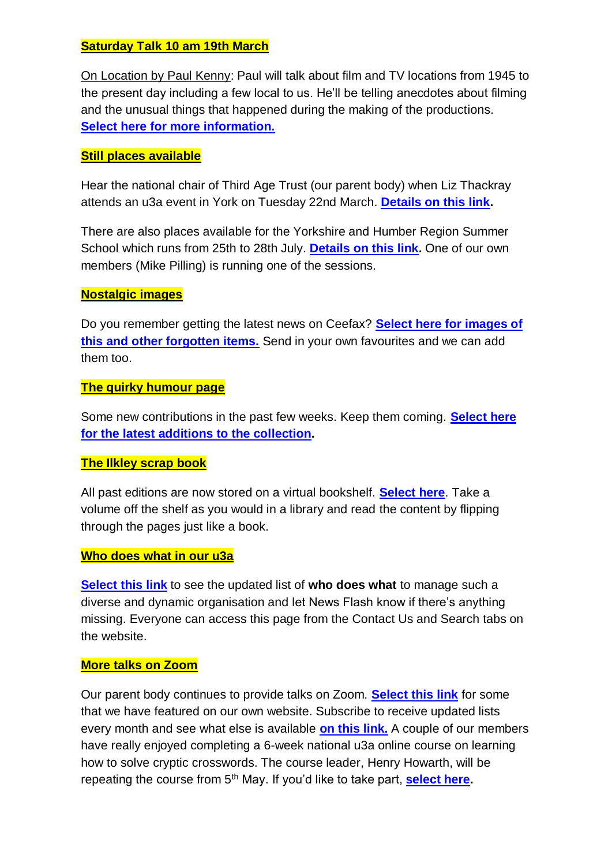## **Saturday Talk 10 am 19th March**

On Location by Paul Kenny: Paul will talk about film and TV locations from 1945 to the present day including a few local to us. He'll be telling anecdotes about filming and the unusual things that happened during the making of the productions. **[Select here for more information.](https://ilkleyu3a.org/event-4716627)**

## **Still places available**

Hear the national chair of Third Age Trust (our parent body) when Liz Thackray attends an u3a event in York on Tuesday 22nd March. **[Details on this link.](https://ilkleyu3a.org/event-4592014)**

There are also places available for the Yorkshire and Humber Region Summer School which runs from 25th to 28th July. **[Details on this link.](https://ilkleyu3a.org/event-4584222)** One of our own members (Mike Pilling) is running one of the sessions.

### **Nostalgic images**

Do you remember getting the latest news on Ceefax? **[Select here for images of](https://ilkleyu3a.org/Nostalgic-Images)  [this and other forgotten items.](https://ilkleyu3a.org/Nostalgic-Images)** Send in your own favourites and we can add them too.

#### **The quirky humour page**

Some new contributions in the past few weeks. Keep them coming. **[Select here](https://ilkleyu3a.org/Lockdown-Support-Quirky-Humour)  [for the latest additions to the collection.](https://ilkleyu3a.org/Lockdown-Support-Quirky-Humour)**

### **The Ilkley scrap book**

All past editions are now stored on a virtual bookshelf. **[Select here](https://ilkleyu3a.org/resources/Documents/PDF-Flip/bookshelf-Scrapbooks.html)**. Take a volume off the shelf as you would in a library and read the content by flipping through the pages just like a book.

### **Who does what in our u3a**

**[Select this link](https://ilkleyu3a.org/Who-does-what-update)** to see the updated list of **who does what** to manage such a diverse and dynamic organisation and let News Flash know if there's anything missing. Everyone can access this page from the Contact Us and Search tabs on the website.

### **More talks on Zoom**

Our parent body continues to provide talks on Zoom. **[Select this link](https://ilkleyu3a.org/External-Events)** for some that we have featured on our own website. Subscribe to receive updated lists every month and see what else is available **[on this link.](https://www.u3a.org.uk/events/educational-events)** A couple of our members have really enjoyed completing a 6-week national u3a online course on learning how to solve cryptic crosswords. The course leader, Henry Howarth, will be repeating the course from 5<sup>th</sup> May. If you'd like to take part, **[select here.](https://www.eventbrite.co.uk/e/cryptic-crosswords-for-beginners-mayjune-tickets-294439014017)**